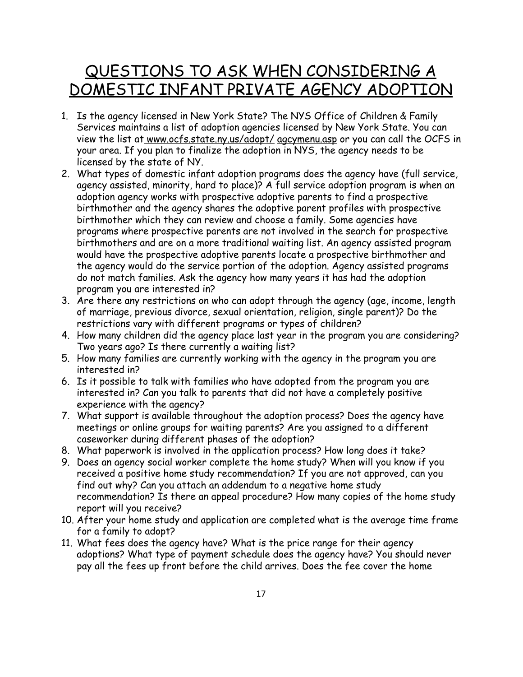## QUESTIONS TO ASK WHEN CONSIDERING A DOMESTIC INFANT PRIVATE AGENCY ADOPTION

- 1. Is the agency licensed in New York State? The NYS Office of Children & Family Services maintains a list of adoption agencies licensed by New York State. You can view the list at www.ocfs.state.ny.us/adopt/ agcymenu.asp or you can call the OCFS in your area. If you plan to finalize the adoption in NYS, the agency needs to be licensed by the state of NY.
- 2. What types of domestic infant adoption programs does the agency have (full service, agency assisted, minority, hard to place)? A full service adoption program is when an adoption agency works with prospective adoptive parents to find a prospective birthmother and the agency shares the adoptive parent profiles with prospective birthmother which they can review and choose a family. Some agencies have programs where prospective parents are not involved in the search for prospective birthmothers and are on a more traditional waiting list. An agency assisted program would have the prospective adoptive parents locate a prospective birthmother and the agency would do the service portion of the adoption. Agency assisted programs do not match families. Ask the agency how many years it has had the adoption program you are interested in?
- 3. Are there any restrictions on who can adopt through the agency (age, income, length of marriage, previous divorce, sexual orientation, religion, single parent)? Do the restrictions vary with different programs or types of children?
- 4. How many children did the agency place last year in the program you are considering? Two years ago? Is there currently a waiting list?
- 5. How many families are currently working with the agency in the program you are interested in?
- 6. Is it possible to talk with families who have adopted from the program you are interested in? Can you talk to parents that did not have a completely positive experience with the agency?
- 7. What support is available throughout the adoption process? Does the agency have meetings or online groups for waiting parents? Are you assigned to a different caseworker during different phases of the adoption?
- 8. What paperwork is involved in the application process? How long does it take?
- 9. Does an agency social worker complete the home study? When will you know if you received a positive home study recommendation? If you are not approved, can you find out why? Can you attach an addendum to a negative home study recommendation? Is there an appeal procedure? How many copies of the home study report will you receive?
- 10. After your home study and application are completed what is the average time frame for a family to adopt?
- 11. What fees does the agency have? What is the price range for their agency adoptions? What type of payment schedule does the agency have? You should never pay all the fees up front before the child arrives. Does the fee cover the home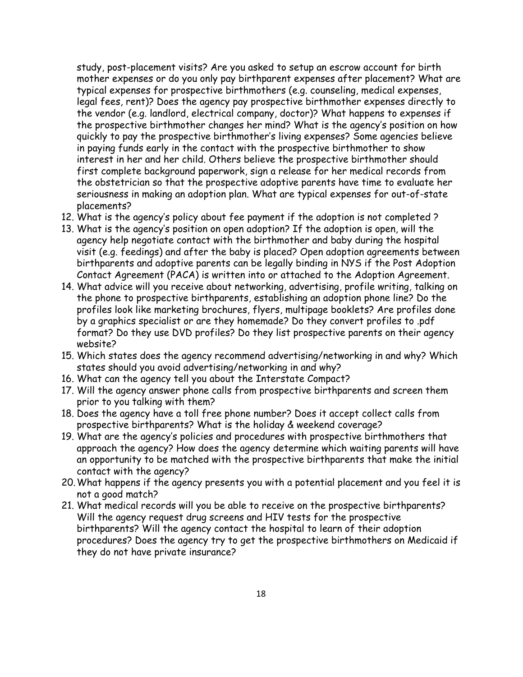study, post-placement visits? Are you asked to setup an escrow account for birth mother expenses or do you only pay birthparent expenses after placement? What are typical expenses for prospective birthmothers (e.g. counseling, medical expenses, legal fees, rent)? Does the agency pay prospective birthmother expenses directly to the vendor (e.g. landlord, electrical company, doctor)? What happens to expenses if the prospective birthmother changes her mind? What is the agency's position on how quickly to pay the prospective birthmother's living expenses? Some agencies believe in paying funds early in the contact with the prospective birthmother to show interest in her and her child. Others believe the prospective birthmother should first complete background paperwork, sign a release for her medical records from the obstetrician so that the prospective adoptive parents have time to evaluate her seriousness in making an adoption plan. What are typical expenses for out-of-state placements?

- 12. What is the agency's policy about fee payment if the adoption is not completed ?
- 13. What is the agency's position on open adoption? If the adoption is open, will the agency help negotiate contact with the birthmother and baby during the hospital visit (e.g. feedings) and after the baby is placed? Open adoption agreements between birthparents and adoptive parents can be legally binding in NYS if the Post Adoption Contact Agreement (PACA) is written into or attached to the Adoption Agreement.
- 14. What advice will you receive about networking, advertising, profile writing, talking on the phone to prospective birthparents, establishing an adoption phone line? Do the profiles look like marketing brochures, flyers, multipage booklets? Are profiles done by a graphics specialist or are they homemade? Do they convert profiles to .pdf format? Do they use DVD profiles? Do they list prospective parents on their agency website?
- 15. Which states does the agency recommend advertising/networking in and why? Which states should you avoid advertising/networking in and why?
- 16. What can the agency tell you about the Interstate Compact?
- 17. Will the agency answer phone calls from prospective birthparents and screen them prior to you talking with them?
- 18. Does the agency have a toll free phone number? Does it accept collect calls from prospective birthparents? What is the holiday & weekend coverage?
- 19. What are the agency's policies and procedures with prospective birthmothers that approach the agency? How does the agency determine which waiting parents will have an opportunity to be matched with the prospective birthparents that make the initial contact with the agency?
- 20.What happens if the agency presents you with a potential placement and you feel it is not a good match?
- 21. What medical records will you be able to receive on the prospective birthparents? Will the agency request drug screens and HIV tests for the prospective birthparents? Will the agency contact the hospital to learn of their adoption procedures? Does the agency try to get the prospective birthmothers on Medicaid if they do not have private insurance?